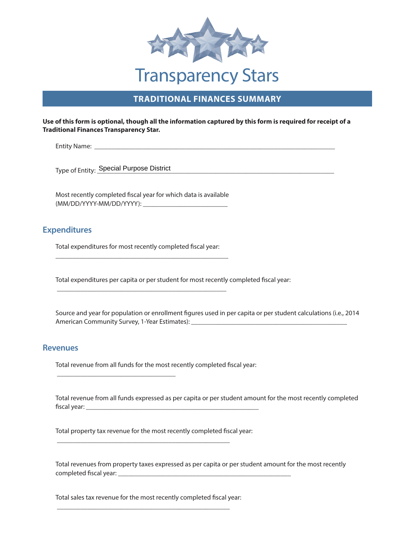

# **TRADITIONAL FINANCES SUMMARY**

#### **Use of this form is optional, though all the information captured by this form is required for receipt of a Traditional Finances Transparency Star.**

\_\_\_\_\_\_\_\_\_\_\_\_\_\_\_\_\_\_\_\_\_\_\_\_\_\_\_\_\_\_\_\_\_\_\_\_\_\_\_\_\_\_\_\_\_\_\_\_\_\_\_\_\_\_\_\_\_\_\_\_\_\_\_\_\_\_\_\_\_\_\_ Entity Name:

\_\_\_\_\_\_\_\_\_\_\_\_\_\_\_\_\_\_\_\_\_\_\_\_\_\_\_\_\_\_\_\_\_\_\_\_\_\_\_\_\_\_\_\_\_\_\_\_\_\_\_\_\_\_\_\_\_\_\_\_\_\_\_\_\_\_\_\_\_\_ Type of Entity: Special Purpose District

\_\_\_\_\_\_\_\_\_\_\_\_\_\_\_\_\_\_\_\_\_\_\_\_\_ (MM/DD/YYYY-MM/DD/YYYY): Most recently completed fiscal year for which data is available

### **Expenditures**

\_\_\_\_\_\_\_\_\_\_\_\_\_\_\_\_\_\_\_\_\_\_\_\_\_\_\_\_\_\_\_\_\_\_\_\_\_\_\_\_\_\_\_\_\_\_\_\_\_\_\_ Total expenditures for most recently completed fiscal year:

\_\_\_\_\_\_\_\_\_\_\_\_\_\_\_\_\_\_\_\_\_\_\_\_\_\_\_\_\_\_\_\_\_\_\_\_\_\_\_\_\_\_\_\_\_\_\_\_\_\_

 $\overline{\phantom{a}}$  , we can consider the constraint of the constraint  $\overline{\phantom{a}}$ 

Total expenditures per capita or per student for most recently completed fiscal year:

American Community Survey, 1-Year Estimates): \_\_\_\_\_\_\_\_\_\_\_\_\_\_\_\_\_\_\_\_\_\_\_\_\_\_\_\_\_\_\_\_\_\_ Source and year for population or enrollment figures used in per capita or per student calculations (i.e., 2014

#### **Revenues**

Total revenue from all funds for the most recently completed fiscal year:

 \_\_\_\_\_\_\_\_\_\_\_\_\_\_\_\_\_\_\_\_\_\_\_\_\_\_\_\_\_\_\_\_\_\_\_\_\_\_\_\_\_\_\_\_\_\_\_\_\_\_\_ fiscal year: Total revenue from all funds expressed as per capita or per student amount for the most recently completed

Total property tax revenue for the most recently completed fiscal year:

\_\_\_\_\_\_\_\_\_\_\_\_\_\_\_\_\_\_\_\_\_\_\_\_\_\_\_\_\_\_\_\_\_\_\_\_\_\_\_\_\_\_\_\_\_\_\_\_\_\_\_

\_\_\_\_\_\_\_\_\_\_\_\_\_\_\_\_\_\_\_\_\_\_\_\_\_\_\_\_\_\_\_\_\_\_\_\_\_\_\_\_\_\_\_\_\_\_\_\_\_\_\_ completed fiscal year: Total revenues from property taxes expressed as per capita or per student amount for the most recently

Total sales tax revenue for the most recently completed fiscal year:

\_\_\_\_\_\_\_\_\_\_\_\_\_\_\_\_\_\_\_\_\_\_\_\_\_\_\_\_\_\_\_\_\_\_\_\_\_\_\_\_\_\_\_\_\_\_\_\_\_\_\_